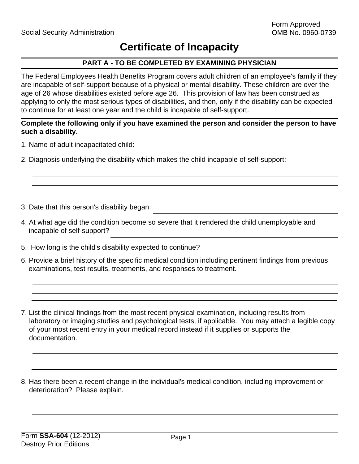# **Certificate of Incapacity**

## **PART A - TO BE COMPLETED BY EXAMINING PHYSICIAN**

The Federal Employees Health Benefits Program covers adult children of an employee's family if they are incapable of self-support because of a physical or mental disability. These children are over the age of 26 whose disabilities existed before age 26. This provision of law has been construed as applying to only the most serious types of disabilities, and then, only if the disability can be expected to continue for at least one year and the child is incapable of self-support.

### **Complete the following only if you have examined the person and consider the person to have such a disability.**

- 1. Name of adult incapacitated child:
- 2. Diagnosis underlying the disability which makes the child incapable of self-support:
- 3. Date that this person's disability began:
- 4. At what age did the condition become so severe that it rendered the child unemployable and incapable of self-support?
- 5. How long is the child's disability expected to continue?
- 6. Provide a brief history of the specific medical condition including pertinent findings from previous examinations, test results, treatments, and responses to treatment.

7. List the clinical findings from the most recent physical examination, including results from laboratory or imaging studies and psychological tests, if applicable. You may attach a legible copy of your most recent entry in your medical record instead if it supplies or supports the documentation.

8. Has there been a recent change in the individual's medical condition, including improvement or deterioration? Please explain.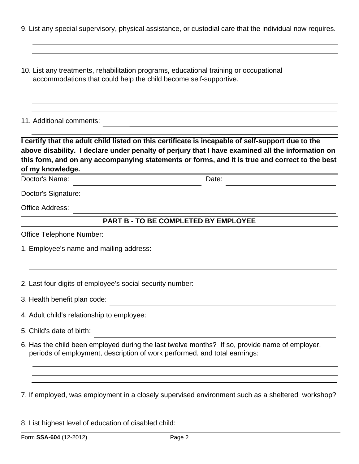9. List any special supervisory, physical assistance, or custodial care that the individual now requires.

10. List any treatments, rehabilitation programs, educational training or occupational accommodations that could help the child become self-supportive.

11. Additional comments:

**I certify that the adult child listed on this certificate is incapable of self-support due to the above disability. I declare under penalty of perjury that I have examined all the information on this form, and on any accompanying statements or forms, and it is true and correct to the best of my knowledge.** 

Doctor's Name: Date:

Doctor's Signature:

Office Address:

#### **PART B - TO BE COMPLETED BY EMPLOYEE**

<u> 1980 - Johann Barbara, martxa alemaniar argametra (h. 1980).</u>

Office Telephone Number:

1. Employee's name and mailing address:

2. Last four digits of employee's social security number:

3. Health benefit plan code:

4. Adult child's relationship to employee:

5. Child's date of birth:

6. Has the child been employed during the last twelve months? If so, provide name of employer, periods of employment, description of work performed, and total earnings:

7. If employed, was employment in a closely supervised environment such as a sheltered workshop?

|  | 8. List highest level of education of disabled child: |  |  |  |  |  |
|--|-------------------------------------------------------|--|--|--|--|--|
|--|-------------------------------------------------------|--|--|--|--|--|